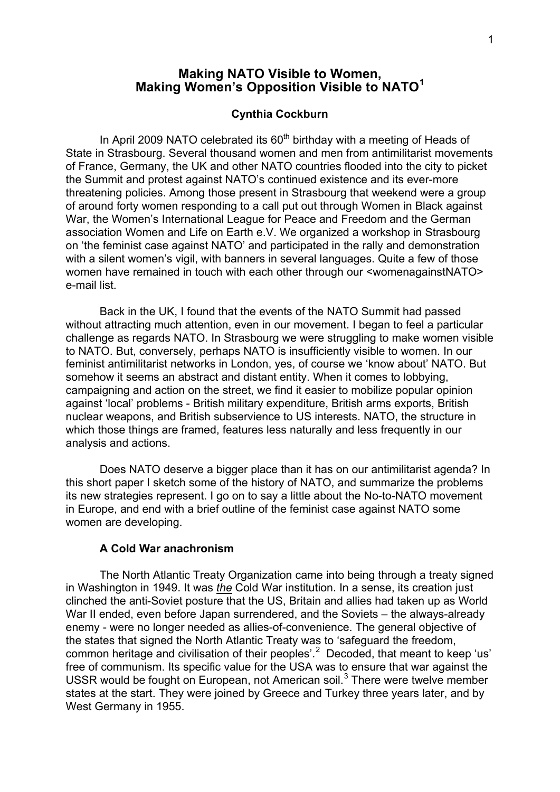# **Making NATO Visible to Women, Making Women's Opposition Visible to NATO[1](#page-10-0)**

### **Cynthia Cockburn**

In April 2009 NATO celebrated its  $60<sup>th</sup>$  birthday with a meeting of Heads of State in Strasbourg. Several thousand women and men from antimilitarist movements of France, Germany, the UK and other NATO countries flooded into the city to picket the Summit and protest against NATO's continued existence and its ever-more threatening policies. Among those present in Strasbourg that weekend were a group of around forty women responding to a call put out through Women in Black against War, the Women's International League for Peace and Freedom and the German association Women and Life on Earth e.V. We organized a workshop in Strasbourg on 'the feminist case against NATO' and participated in the rally and demonstration with a silent women's vigil, with banners in several languages. Quite a few of those women have remained in touch with each other through our <womenagainstNATO> e-mail list.

Back in the UK, I found that the events of the NATO Summit had passed without attracting much attention, even in our movement. I began to feel a particular challenge as regards NATO. In Strasbourg we were struggling to make women visible to NATO. But, conversely, perhaps NATO is insufficiently visible to women. In our feminist antimilitarist networks in London, yes, of course we 'know about' NATO. But somehow it seems an abstract and distant entity. When it comes to lobbying, campaigning and action on the street, we find it easier to mobilize popular opinion against 'local' problems - British military expenditure, British arms exports, British nuclear weapons, and British subservience to US interests. NATO, the structure in which those things are framed, features less naturally and less frequently in our analysis and actions.

Does NATO deserve a bigger place than it has on our antimilitarist agenda? In this short paper I sketch some of the history of NATO, and summarize the problems its new strategies represent. I go on to say a little about the No-to-NATO movement in Europe, and end with a brief outline of the feminist case against NATO some women are developing.

## **A Cold War anachronism**

The North Atlantic Treaty Organization came into being through a treaty signed in Washington in 1949. It was *the* Cold War institution. In a sense, its creation just clinched the anti-Soviet posture that the US, Britain and allies had taken up as World War II ended, even before Japan surrendered, and the Soviets – the always-already enemy - were no longer needed as allies-of-convenience. The general objective of the states that signed the North Atlantic Treaty was to 'safeguard the freedom, common heritage and civilisation of their peoples'.<sup>[2](#page-10-0)</sup> Decoded, that meant to keep 'us' free of communism. Its specific value for the USA was to ensure that war against the USSR would be fought on European, not American soil.<sup>[3](#page-10-0)</sup> There were twelve member states at the start. They were joined by Greece and Turkey three years later, and by West Germany in 1955.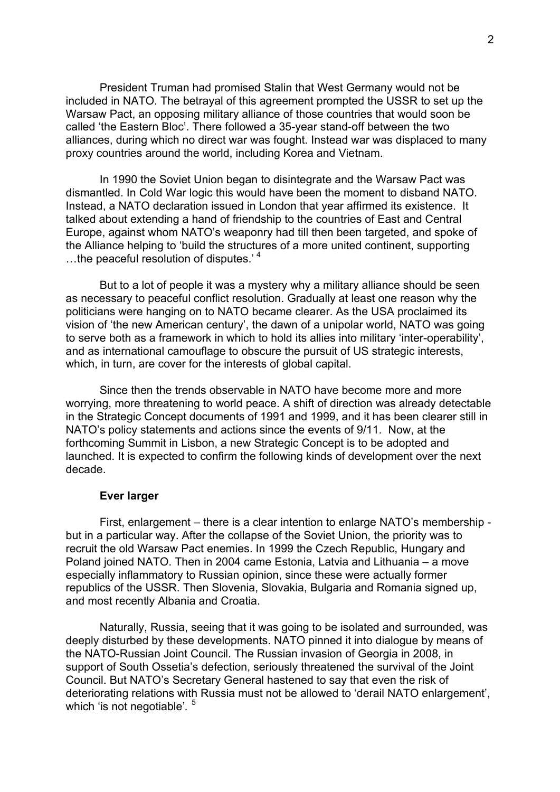President Truman had promised Stalin that West Germany would not be included in NATO. The betrayal of this agreement prompted the USSR to set up the Warsaw Pact, an opposing military alliance of those countries that would soon be called 'the Eastern Bloc'. There followed a 35-year stand-off between the two alliances, during which no direct war was fought. Instead war was displaced to many proxy countries around the world, including Korea and Vietnam.

In 1990 the Soviet Union began to disintegrate and the Warsaw Pact was dismantled. In Cold War logic this would have been the moment to disband NATO. Instead, a NATO declaration issued in London that year affirmed its existence. It talked about extending a hand of friendship to the countries of East and Central Europe, against whom NATO's weaponry had till then been targeted, and spoke of the Alliance helping to 'build the structures of a more united continent, supporting …the peaceful resolution of disputes.' [4](#page-10-0)

But to a lot of people it was a mystery why a military alliance should be seen as necessary to peaceful conflict resolution. Gradually at least one reason why the politicians were hanging on to NATO became clearer. As the USA proclaimed its vision of 'the new American century', the dawn of a unipolar world, NATO was going to serve both as a framework in which to hold its allies into military 'inter-operability', and as international camouflage to obscure the pursuit of US strategic interests, which, in turn, are cover for the interests of global capital.

Since then the trends observable in NATO have become more and more worrying, more threatening to world peace. A shift of direction was already detectable in the Strategic Concept documents of 1991 and 1999, and it has been clearer still in NATO's policy statements and actions since the events of 9/11. Now, at the forthcoming Summit in Lisbon, a new Strategic Concept is to be adopted and launched. It is expected to confirm the following kinds of development over the next decade.

#### **Ever larger**

First, enlargement – there is a clear intention to enlarge NATO's membership but in a particular way. After the collapse of the Soviet Union, the priority was to recruit the old Warsaw Pact enemies. In 1999 the Czech Republic, Hungary and Poland joined NATO. Then in 2004 came Estonia, Latvia and Lithuania – a move especially inflammatory to Russian opinion, since these were actually former republics of the USSR. Then Slovenia, Slovakia, Bulgaria and Romania signed up, and most recently Albania and Croatia.

Naturally, Russia, seeing that it was going to be isolated and surrounded, was deeply disturbed by these developments. NATO pinned it into dialogue by means of the NATO-Russian Joint Council. The Russian invasion of Georgia in 2008, in support of South Ossetia's defection, seriously threatened the survival of the Joint Council. But NATO's Secretary General hastened to say that even the risk of deteriorating relations with Russia must not be allowed to 'derail NATO enlargement', which 'is not negotiable'.<sup>[5](#page-10-0)</sup>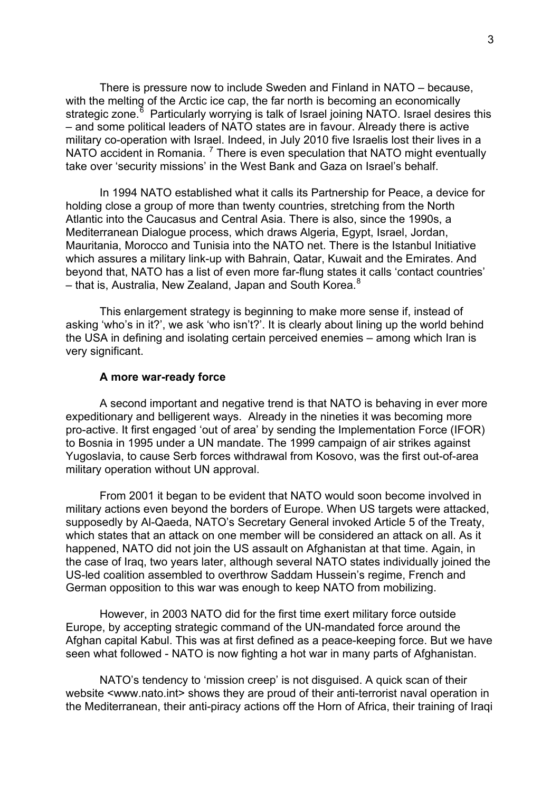There is pressure now to include Sweden and Finland in NATO – because, with the melting of the Arctic ice cap, the far north is becoming an economically strategic zone.<sup>[6](#page-10-0)</sup> Particularly worrying is talk of Israel joining NATO. Israel desires this – and some political leaders of NATO states are in favour. Already there is active military co-operation with Israel. Indeed, in July 2010 five Israelis lost their lives in a NATO accident in Romania.<sup>[7](#page-10-0)</sup> There is even speculation that NATO might eventually take over 'security missions' in the West Bank and Gaza on Israel's behalf.

In 1994 NATO established what it calls its Partnership for Peace, a device for holding close a group of more than twenty countries, stretching from the North Atlantic into the Caucasus and Central Asia. There is also, since the 1990s, a Mediterranean Dialogue process, which draws Algeria, Egypt, Israel, Jordan, Mauritania, Morocco and Tunisia into the NATO net. There is the Istanbul Initiative which assures a military link-up with Bahrain, Qatar, Kuwait and the Emirates. And beyond that, NATO has a list of even more far-flung states it calls 'contact countries' – that is, Australia, New Zealand, Japan and South Korea. $8$ 

This enlargement strategy is beginning to make more sense if, instead of asking 'who's in it?', we ask 'who isn't?'. It is clearly about lining up the world behind the USA in defining and isolating certain perceived enemies – among which Iran is very significant.

# **A more war-ready force**

A second important and negative trend is that NATO is behaving in ever more expeditionary and belligerent ways. Already in the nineties it was becoming more pro-active. It first engaged 'out of area' by sending the Implementation Force (IFOR) to Bosnia in 1995 under a UN mandate. The 1999 campaign of air strikes against Yugoslavia, to cause Serb forces withdrawal from Kosovo, was the first out-of-area military operation without UN approval.

From 2001 it began to be evident that NATO would soon become involved in military actions even beyond the borders of Europe. When US targets were attacked, supposedly by Al-Qaeda, NATO's Secretary General invoked Article 5 of the Treaty, which states that an attack on one member will be considered an attack on all. As it happened, NATO did not join the US assault on Afghanistan at that time. Again, in the case of Iraq, two years later, although several NATO states individually joined the US-led coalition assembled to overthrow Saddam Hussein's regime, French and German opposition to this war was enough to keep NATO from mobilizing.

However, in 2003 NATO did for the first time exert military force outside Europe, by accepting strategic command of the UN-mandated force around the Afghan capital Kabul. This was at first defined as a peace-keeping force. But we have seen what followed - NATO is now fighting a hot war in many parts of Afghanistan.

NATO's tendency to 'mission creep' is not disguised. A quick scan of their website <www.nato.int> shows they are proud of their anti-terrorist naval operation in the Mediterranean, their anti-piracy actions off the Horn of Africa, their training of Iraqi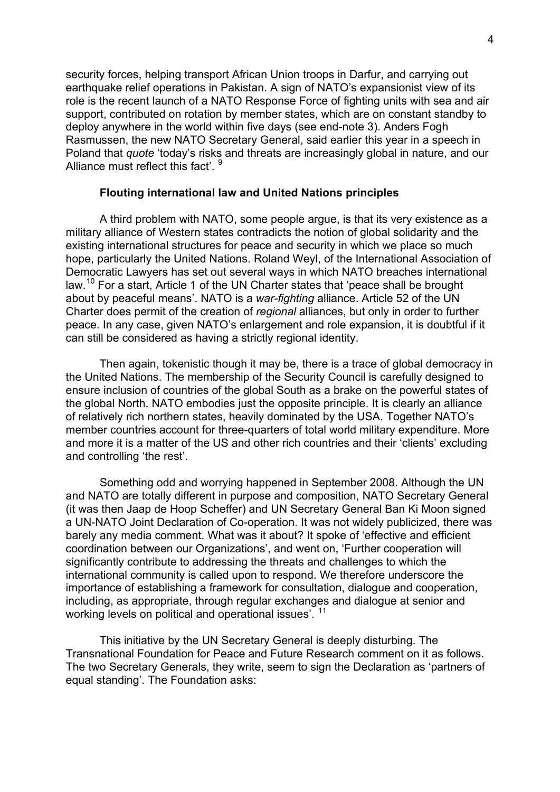security forces, helping transport African Union troops in Darfur, and carrying out earthquake relief operations in Pakistan. A sign of NATO's expansionist view of its role is the recent launch of a NATO Response Force of fighting units with sea and air support, contributed on rotation by member states, which are on constant standby to deploy anywhere in the world within five days (see end-note 3). Anders Fogh Rasmussen, the new NATO Secretary General, said earlier this year in a speech in Poland that *quote* 'today's risks and threats are increasingly global in nature, and our Alliance must reflect this fact'.

#### **Flouting international law and United Nations principles**

A third problem with NATO, some people argue, is that its very existence as a military alliance of Western states contradicts the notion of global solidarity and the existing international structures for peace and security in which we place so much hope, particularly the United Nations. Roland Weyl, of the International Association of Democratic Lawyers has set out several ways in which NATO breaches international law.[1](#page-10-0)0 For a start, Article 1 of the UN Charter states that 'peace shall be brought about by peaceful means'. NATO is a *war-fighting* alliance. Article 52 of the UN Charter does permit of the creation of *regional* alliances, but only in order to further peace. In any case, given NATO's enlargement and role expansion, it is doubtful if it can still be considered as having a strictly regional identity.

Then again, tokenistic though it may be, there is a trace of global democracy in the United Nations. The membership of the Security Council is carefully designed to ensure inclusion of countries of the global South as a brake on the powerful states of the global North. NATO embodies just the opposite principle. It is clearly an alliance of relatively rich northern states, heavily dominated by the USA. Together NATO's member countries account for three-quarters of total world military expenditure. More and more it is a matter of the US and other rich countries and their 'clients' excluding and controlling 'the rest'.

Something odd and worrying happened in September 2008. Although the UN and NATO are totally different in purpose and composition, NATO Secretary General (it was then Jaap de Hoop Scheffer) and UN Secretary General Ban Ki Moon signed a UN-NATO Joint Declaration of Co-operation. It was not widely publicized, there was barely any media comment. What was it about? It spoke of 'effective and efficient coordination between our Organizations', and went on, 'Further cooperation will significantly contribute to addressing the threats and challenges to which the international community is called upon to respond. We therefore underscore the importance of establishing a framework for consultation, dialogue and cooperation, including, as appropriate, through regular exchanges and dialogue at senior and working levels on political and operational issues<sup>7</sup>.<sup>[11](#page-10-0)</sup>

This initiative by the UN Secretary General is deeply disturbing. The Transnational Foundation for Peace and Future Research comment on it as follows. The two Secretary Generals, they write, seem to sign the Declaration as 'partners of equal standing'. The Foundation asks: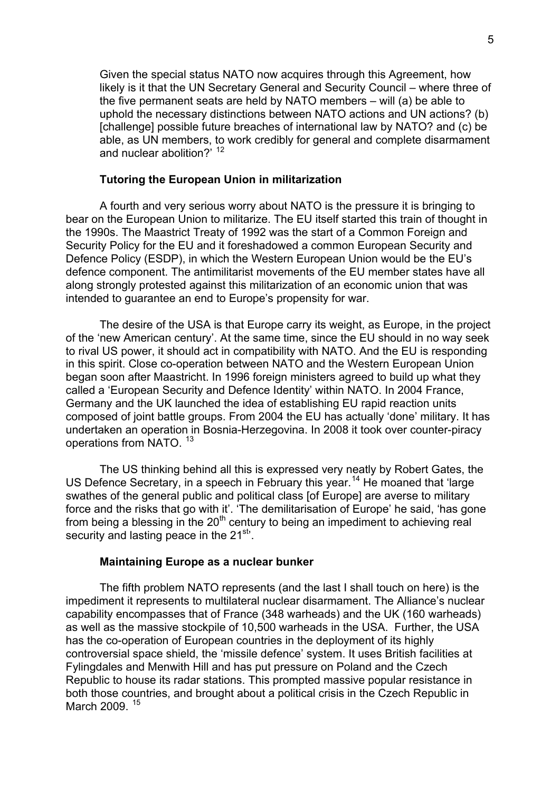Given the special status NATO now acquires through this Agreement, how likely is it that the UN Secretary General and Security Council – where three of the five permanent seats are held by NATO members – will (a) be able to uphold the necessary distinctions between NATO actions and UN actions? (b) [challenge] possible future breaches of international law by NATO? and (c) be able, as UN members, to work credibly for general and complete disarmament and nuclear abolition?<sup>, [1](#page-10-0)2</sup>

# **Tutoring the European Union in militarization**

A fourth and very serious worry about NATO is the pressure it is bringing to bear on the European Union to militarize. The EU itself started this train of thought in the 1990s. The Maastrict Treaty of 1992 was the start of a Common Foreign and Security Policy for the EU and it foreshadowed a common European Security and Defence Policy (ESDP), in which the Western European Union would be the EU's defence component. The antimilitarist movements of the EU member states have all along strongly protested against this militarization of an economic union that was intended to guarantee an end to Europe's propensity for war.

The desire of the USA is that Europe carry its weight, as Europe, in the project of the 'new American century'. At the same time, since the EU should in no way seek to rival US power, it should act in compatibility with NATO. And the EU is responding in this spirit. Close co-operation between NATO and the Western European Union began soon after Maastricht. In 1996 foreign ministers agreed to build up what they called a 'European Security and Defence Identity' within NATO. In 2004 France, Germany and the UK launched the idea of establishing EU rapid reaction units composed of joint battle groups. From 2004 the EU has actually 'done' military. It has undertaken an operation in Bosnia-Herzegovina. In 2008 it took over counter-piracy operations from NATO. [13](#page-10-0)

The US thinking behind all this is expressed very neatly by Robert Gates, the US Defence Secretary, in a speech in February this year.<sup>[1](#page-10-0)4</sup> He moaned that 'large swathes of the general public and political class [of Europe] are averse to military force and the risks that go with it'. 'The demilitarisation of Europe' he said, 'has gone from being a blessing in the  $20<sup>th</sup>$  century to being an impediment to achieving real security and lasting peace in the 21<sup>st</sup>.

# **Maintaining Europe as a nuclear bunker**

The fifth problem NATO represents (and the last I shall touch on here) is the impediment it represents to multilateral nuclear disarmament. The Alliance's nuclear capability encompasses that of France (348 warheads) and the UK (160 warheads) as well as the massive stockpile of 10,500 warheads in the USA. Further, the USA has the co-operation of European countries in the deployment of its highly controversial space shield, the 'missile defence' system. It uses British facilities at Fylingdales and Menwith Hill and has put pressure on Poland and the Czech Republic to house its radar stations. This prompted massive popular resistance in both those countries, and brought about a political crisis in the Czech Republic in March 2009.<sup>[1](#page-10-0)5</sup>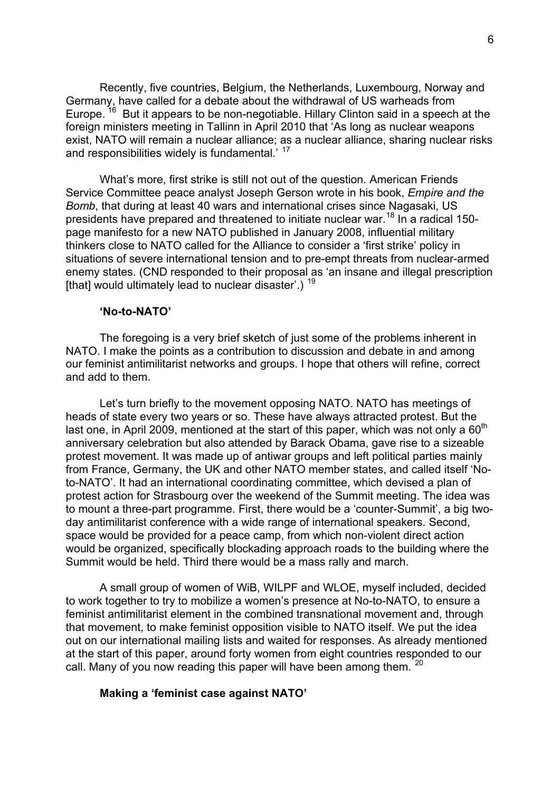Recently, five countries, Belgium, the Netherlands, Luxembourg, Norway and Germany, have called for a debate about the withdrawal of US warheads from Europe.<sup>[1](#page-10-0)6</sup> But it appears to be non-negotiable. Hillary Clinton said in a speech at the foreign ministers meeting in Tallinn in April 2010 that 'As long as nuclear weapons exist, NATO will remain a nuclear alliance; as a nuclear alliance, sharing nuclear risks and responsibilities widely is fundamental.<sup>' [1](#page-10-0)7</sup>

What's more, first strike is still not out of the question. American Friends Service Committee peace analyst Joseph Gerson wrote in his book, *Empire and the Bomb*, that during at least 40 wars and international crises since Nagasaki, US presidents have prepared and threatened to initiate nuclear war.<sup>[1](#page-10-0)8</sup> In a radical 150page manifesto for a new NATO published in January 2008, influential military thinkers close to NATO called for the Alliance to consider a 'first strike' policy in situations of severe international tension and to pre-empt threats from nuclear-armed enemy states. (CND responded to their proposal as 'an insane and illegal prescription [that] would ultimately lead to nuclear disaster'.)  $19$  $19$ 

### **'No-to-NATO'**

The foregoing is a very brief sketch of just some of the problems inherent in NATO. I make the points as a contribution to discussion and debate in and among our feminist antimilitarist networks and groups. I hope that others will refine, correct and add to them.

Let's turn briefly to the movement opposing NATO. NATO has meetings of heads of state every two years or so. These have always attracted protest. But the last one, in April 2009, mentioned at the start of this paper, which was not only a  $60<sup>th</sup>$ anniversary celebration but also attended by Barack Obama, gave rise to a sizeable protest movement. It was made up of antiwar groups and left political parties mainly from France, Germany, the UK and other NATO member states, and called itself 'Noto-NATO'. It had an international coordinating committee, which devised a plan of protest action for Strasbourg over the weekend of the Summit meeting. The idea was to mount a three-part programme. First, there would be a 'counter-Summit', a big twoday antimilitarist conference with a wide range of international speakers. Second, space would be provided for a peace camp, from which non-violent direct action would be organized, specifically blockading approach roads to the building where the Summit would be held. Third there would be a mass rally and march.

A small group of women of WiB, WILPF and WLOE, myself included, decided to work together to try to mobilize a women's presence at No-to-NATO, to ensure a feminist antimilitarist element in the combined transnational movement and, through that movement, to make feminist opposition visible to NATO itself. We put the idea out on our international mailing lists and waited for responses. As already mentioned at the start of this paper, around forty women from eight countries responded to our call. Many of you now reading this paper will have been among them. <sup>[20](#page-10-0)</sup>

#### **Making a 'feminist case against NATO'**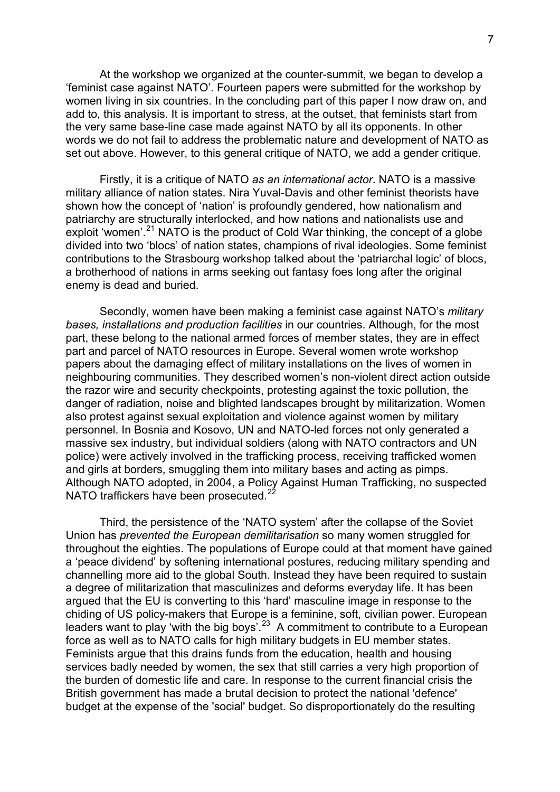At the workshop we organized at the counter-summit, we began to develop a 'feminist case against NATO'. Fourteen papers were submitted for the workshop by women living in six countries. In the concluding part of this paper I now draw on, and add to, this analysis. It is important to stress, at the outset, that feminists start from the very same base-line case made against NATO by all its opponents. In other words we do not fail to address the problematic nature and development of NATO as set out above. However, to this general critique of NATO, we add a gender critique.

Firstly, it is a critique of NATO *as an international actor*. NATO is a massive military alliance of nation states. Nira Yuval-Davis and other feminist theorists have shown how the concept of 'nation' is profoundly gendered, how nationalism and patriarchy are structurally interlocked, and how nations and nationalists use and exploit 'women'.<sup>[2](#page-10-0)1</sup> NATO is the product of Cold War thinking, the concept of a globe divided into two 'blocs' of nation states, champions of rival ideologies. Some feminist contributions to the Strasbourg workshop talked about the 'patriarchal logic' of blocs, a brotherhood of nations in arms seeking out fantasy foes long after the original enemy is dead and buried.

Secondly, women have been making a feminist case against NATO's *military bases, installations and production facilities* in our countries. Although, for the most part, these belong to the national armed forces of member states, they are in effect part and parcel of NATO resources in Europe. Several women wrote workshop papers about the damaging effect of military installations on the lives of women in neighbouring communities. They described women's non-violent direct action outside the razor wire and security checkpoints, protesting against the toxic pollution, the danger of radiation, noise and blighted landscapes brought by militarization. Women also protest against sexual exploitation and violence against women by military personnel. In Bosnia and Kosovo, UN and NATO-led forces not only generated a massive sex industry, but individual soldiers (along with NATO contractors and UN police) were actively involved in the trafficking process, receiving trafficked women and girls at borders, smuggling them into military bases and acting as pimps. Although NATO adopted, in 2004, a Policy Against Human Trafficking, no suspected NATO traffickers have been prosecuted.<sup>[2](#page-10-0)</sup>

Third, the persistence of the 'NATO system' after the collapse of the Soviet Union has *prevented the European demilitarisation* so many women struggled for throughout the eighties. The populations of Europe could at that moment have gained a 'peace dividend' by softening international postures, reducing military spending and channelling more aid to the global South. Instead they have been required to sustain a degree of militarization that masculinizes and deforms everyday life. It has been argued that the EU is converting to this 'hard' masculine image in response to the chiding of US policy-makers that Europe is a feminine, soft, civilian power. European leaders want to play 'with the big boys'.[2](#page-10-0)3 A commitment to contribute to a European force as well as to NATO calls for high military budgets in EU member states. Feminists argue that this drains funds from the education, health and housing services badly needed by women, the sex that still carries a very high proportion of the burden of domestic life and care. In response to the current financial crisis the British government has made a brutal decision to protect the national 'defence' budget at the expense of the 'social' budget. So disproportionately do the resulting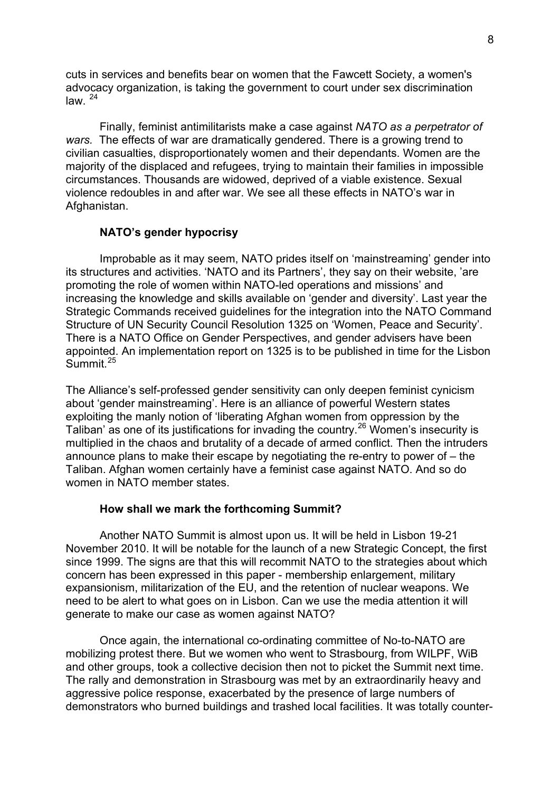cuts in services and benefits bear on women that the Fawcett Society, a women's advocacy organization, is taking the government to court under sex discrimination  $l$ aw.  $^{24}$  $^{24}$  $^{24}$ 

Finally, feminist antimilitarists make a case against *NATO as a perpetrator of wars.* The effects of war are dramatically gendered. There is a growing trend to civilian casualties, disproportionately women and their dependants. Women are the majority of the displaced and refugees, trying to maintain their families in impossible circumstances. Thousands are widowed, deprived of a viable existence. Sexual violence redoubles in and after war. We see all these effects in NATO's war in Afghanistan.

## **NATO's gender hypocrisy**

Improbable as it may seem, NATO prides itself on 'mainstreaming' gender into its structures and activities. 'NATO and its Partners', they say on their website, 'are promoting the role of women within NATO-led operations and missions' and increasing the knowledge and skills available on 'gender and diversity'. Last year the Strategic Commands received guidelines for the integration into the NATO Command Structure of UN Security Council Resolution 1325 on 'Women, Peace and Security'. There is a NATO Office on Gender Perspectives, and gender advisers have been appointed. An implementation report on 1325 is to be published in time for the Lisbon Summit<sup>[2](#page-10-0)5</sup>

The Alliance's self-professed gender sensitivity can only deepen feminist cynicism about 'gender mainstreaming'. Here is an alliance of powerful Western states exploiting the manly notion of 'liberating Afghan women from oppression by the Taliban' as one of its justifications for invading the country.[2](#page-10-0)6 Women's insecurity is multiplied in the chaos and brutality of a decade of armed conflict. Then the intruders announce plans to make their escape by negotiating the re-entry to power of – the Taliban. Afghan women certainly have a feminist case against NATO. And so do women in NATO member states.

#### **How shall we mark the forthcoming Summit?**

Another NATO Summit is almost upon us. It will be held in Lisbon 19-21 November 2010. It will be notable for the launch of a new Strategic Concept, the first since 1999. The signs are that this will recommit NATO to the strategies about which concern has been expressed in this paper - membership enlargement, military expansionism, militarization of the EU, and the retention of nuclear weapons. We need to be alert to what goes on in Lisbon. Can we use the media attention it will generate to make our case as women against NATO?

Once again, the international co-ordinating committee of No-to-NATO are mobilizing protest there. But we women who went to Strasbourg, from WILPF, WiB and other groups, took a collective decision then not to picket the Summit next time. The rally and demonstration in Strasbourg was met by an extraordinarily heavy and aggressive police response, exacerbated by the presence of large numbers of demonstrators who burned buildings and trashed local facilities. It was totally counter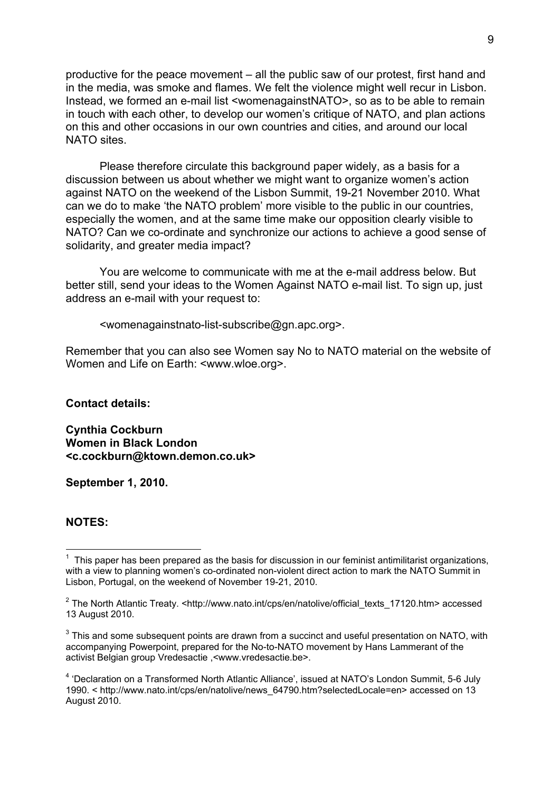productive for the peace movement – all the public saw of our protest, first hand and in the media, was smoke and flames. We felt the violence might well recur in Lisbon. Instead, we formed an e-mail list <womenagainstNATO>, so as to be able to remain in touch with each other, to develop our women's critique of NATO, and plan actions on this and other occasions in our own countries and cities, and around our local NATO sites.

Please therefore circulate this background paper widely, as a basis for a discussion between us about whether we might want to organize women's action against NATO on the weekend of the Lisbon Summit, 19-21 November 2010. What can we do to make 'the NATO problem' more visible to the public in our countries, especially the women, and at the same time make our opposition clearly visible to NATO? Can we co-ordinate and synchronize our actions to achieve a good sense of solidarity, and greater media impact?

You are welcome to communicate with me at the e-mail address below. But better still, send your ideas to the Women Against NATO e-mail list. To sign up, just address an e-mail with your request to:

<womenagainstnato-list-subscribe@gn.apc.org>.

Remember that you can also see Women say No to NATO material on the website of Women and Life on Earth: <www.wloe.org>.

**Contact details:** 

**Cynthia Cockburn Women in Black London <c.cockburn@ktown.demon.co.uk>** 

**September 1, 2010.** 

# **NOTES:**

l

 $1$  This paper has been prepared as the basis for discussion in our feminist antimilitarist organizations, with a view to planning women's co-ordinated non-violent direct action to mark the NATO Summit in Lisbon, Portugal, on the weekend of November 19-21, 2010.

<sup>&</sup>lt;sup>2</sup> The North Atlantic Treaty. <http://www.nato.int/cps/en/natolive/official\_texts\_17120.htm> accessed 13 August 2010.

 $3$  This and some subsequent points are drawn from a succinct and useful presentation on NATO, with accompanying Powerpoint, prepared for the No-to-NATO movement by Hans Lammerant of the activist Belgian group Vredesactie ,<www.vredesactie.be>.

<sup>&</sup>lt;sup>4</sup> 'Declaration on a Transformed North Atlantic Alliance', issued at NATO's London Summit, 5-6 July 1990. < http://www.nato.int/cps/en/natolive/news\_64790.htm?selectedLocale=en> accessed on 13 August 2010.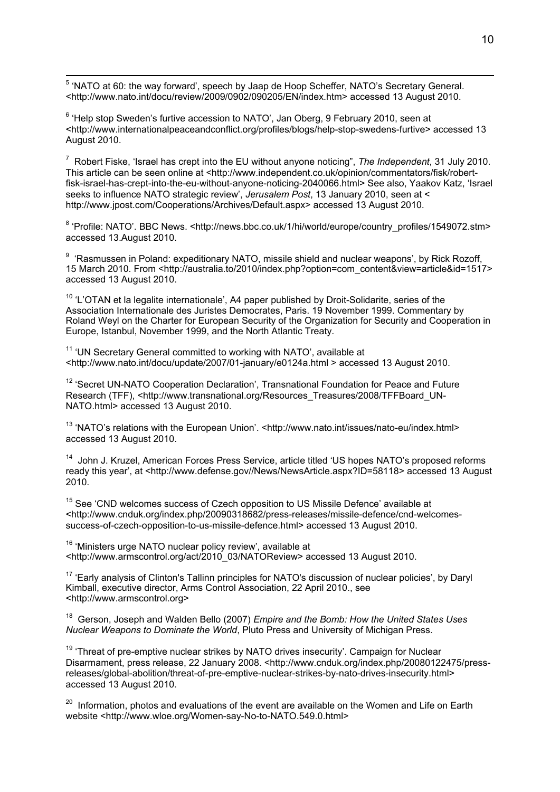5 'NATO at 60: the way forward', speech by Jaap de Hoop Scheffer, NATO's Secretary General. <http://www.nato.int/docu/review/2009/0902/090205/EN/index.htm> accessed 13 August 2010.

 $6$  'Help stop Sweden's furtive accession to NATO', Jan Oberg, 9 February 2010, seen at <http://www.internationalpeaceandconflict.org/profiles/blogs/help-stop-swedens-furtive> accessed 13 August 2010.

7 Robert Fiske, 'Israel has crept into the EU without anyone noticing", *The Independent*, 31 July 2010. This article can be seen online at <http://www.independent.co.uk/opinion/commentators/fisk/robertfisk-israel-has-crept-into-the-eu-without-anyone-noticing-2040066.html> See also, Yaakov Katz, 'Israel seeks to influence NATO strategic review', *Jerusalem Post*, 13 January 2010, seen at < http://www.jpost.com/Cooperations/Archives/Default.aspx> accessed 13 August 2010.

<sup>8</sup> 'Profile: NATO'. BBC News. <http://news.bbc.co.uk/1/hi/world/europe/country\_profiles/1549072.stm> accessed 13.August 2010.

<sup>9</sup> 'Rasmussen in Poland: expeditionary NATO, missile shield and nuclear weapons', by Rick Rozoff, 15 March 2010. From <http://australia.to/2010/index.php?option=com\_content&view=article&id=1517> accessed 13 August 2010.

 $10$  'L'OTAN et la legalite internationale', A4 paper published by Droit-Solidarite, series of the Association Internationale des Juristes Democrates, Paris. 19 November 1999. Commentary by Roland Weyl on the Charter for European Security of the Organization for Security and Cooperation in Europe, Istanbul, November 1999, and the North Atlantic Treaty.

<sup>11</sup> 'UN Secretary General committed to working with NATO', available at <http://www.nato.int/docu/update/2007/01-january/e0124a.html > accessed 13 August 2010.

<sup>12</sup> 'Secret UN-NATO Cooperation Declaration', Transnational Foundation for Peace and Future Research (TFF), <http://www.transnational.org/Resources\_Treasures/2008/TFFBoard\_UN-NATO.html> accessed 13 August 2010.

<sup>13</sup> 'NATO's relations with the European Union'. <http://www.nato.int/issues/nato-eu/index.html> accessed 13 August 2010.

<sup>14</sup> John J. Kruzel, American Forces Press Service, article titled 'US hopes NATO's proposed reforms ready this year', at <http://www.defense.gov//News/NewsArticle.aspx?ID=58118> accessed 13 August 2010.

<sup>15</sup> See 'CND welcomes success of Czech opposition to US Missile Defence' available at <http://www.cnduk.org/index.php/20090318682/press-releases/missile-defence/cnd-welcomessuccess-of-czech-opposition-to-us-missile-defence.html> accessed 13 August 2010.

<sup>16</sup> 'Ministers urge NATO nuclear policy review', available at <http://www.armscontrol.org/act/2010\_03/NATOReview> accessed 13 August 2010.

<sup>17</sup> 'Early analysis of Clinton's Tallinn principles for NATO's discussion of nuclear policies', by Daryl Kimball, executive director, Arms Control Association, 22 April 2010., see <http://www.armscontrol.org>

18 Gerson, Joseph and Walden Bello (2007) *Empire and the Bomb: How the United States Uses Nuclear Weapons to Dominate the World*, Pluto Press and University of Michigan Press.

 $19$  'Threat of pre-emptive nuclear strikes by NATO drives insecurity'. Campaign for Nuclear Disarmament, press release, 22 January 2008. <http://www.cnduk.org/index.php/20080122475/pressreleases/global-abolition/threat-of-pre-emptive-nuclear-strikes-by-nato-drives-insecurity.html> accessed 13 August 2010.

<sup>20</sup> Information, photos and evaluations of the event are available on the Women and Life on Earth website <http://www.wloe.org/Women-say-No-to-NATO.549.0.html>